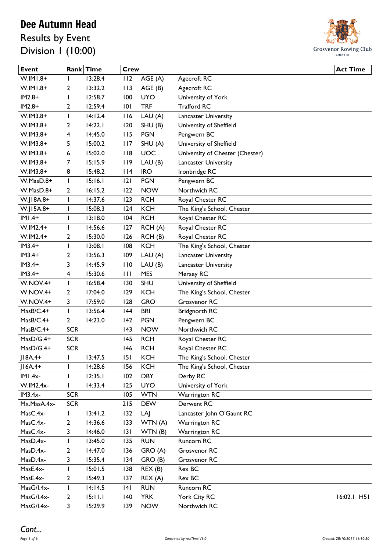Results by Event Division 1 (10:00)



| <b>Event</b> |              | Rank Time | <b>Crew</b>  |            |                                 | <b>Act Time</b> |
|--------------|--------------|-----------|--------------|------------|---------------------------------|-----------------|
| $W.IMI.8+$   |              | 13:28.4   | 112          | AGE (A)    | Agecroft RC                     |                 |
| $W.IMI.8+$   | 2            | 13:32.2   | 113          | AGE (B)    | Agecroft RC                     |                 |
| $IM2.8+$     | I            | 12:58.7   | 100          | <b>UYO</b> | University of York              |                 |
| $IM2.8+$     | 2            | 12:59.4   | 101          | <b>TRF</b> | <b>Trafford RC</b>              |                 |
| W.IM3.8+     | $\mathbf{I}$ | 14:12.4   | 116          | LAU(A)     | Lancaster University            |                 |
| W.IM3.8+     | 2            | 14:22.1   | 120          | SHU(B)     | University of Sheffield         |                 |
| W.IM3.8+     | 4            | 14:45.0   | 115          | <b>PGN</b> | Pengwern BC                     |                 |
| W.IM3.8+     | 5            | 15:00.2   | 117          | SHU(A)     | University of Sheffield         |                 |
| W.IM3.8+     | 6            | 15:02.0   | 118          | UOC        | University of Chester (Chester) |                 |
| W.IM3.8+     | 7            | 15:15.9   | 119          | LAU(B)     | Lancaster University            |                 |
| W.IM3.8+     | 8            | 15:48.2   | 114          | <b>IRO</b> | Ironbridge RC                   |                 |
| W.MasD.8+    | $\mathbf{I}$ | 15:16.1   | 2            | <b>PGN</b> | Pengwern BC                     |                 |
| W.MasD.8+    | $\mathbf{2}$ | 16:15.2   | 122          | <b>NOW</b> | Northwich RC                    |                 |
| W.J18A.8+    | I            | 14:37.6   | 123          | <b>RCH</b> | Royal Chester RC                |                 |
| W.J15A.8+    | $\mathbf{I}$ | 15:08.3   | 124          | <b>KCH</b> | The King's School, Chester      |                 |
| $IMI.4+$     | I            | 13:18.0   | 104          | <b>RCH</b> | Royal Chester RC                |                 |
| $W.IM2.4+$   | I            | 14:56.6   | 127          | RCH(A)     | Royal Chester RC                |                 |
| $W.IM2.4+$   | 2            | 15:30.0   | 126          | RCH(B)     | Royal Chester RC                |                 |
| $IM3.4+$     | $\mathbf{I}$ | 13:08.1   | 108          | <b>KCH</b> | The King's School, Chester      |                 |
| $IM3.4+$     | 2            | 13:56.3   | 109          | LAU (A)    | <b>Lancaster University</b>     |                 |
| $IM3.4+$     | 3            | 14:45.9   | 110          | LAU(B)     | Lancaster University            |                 |
| $IM3.4+$     | 4            | 15:30.6   | $\mathbf{H}$ | <b>MES</b> | Mersey RC                       |                 |
| W.NOV.4+     | $\mathbf{I}$ | 16:58.4   | 130          | SHU        | University of Sheffield         |                 |
| W.NOV.4+     | 2            | 17:04.0   | 129          | <b>KCH</b> | The King's School, Chester      |                 |
| W.NOV.4+     | 3            | 17:59.0   | 128          | <b>GRO</b> | Grosvenor RC                    |                 |
| MasB/C.4+    | $\mathbf{I}$ | 13:56.4   | 44           | <b>BRI</b> | Bridgnorth RC                   |                 |
| MasB/C.4+    | $\mathbf{2}$ | 14:23.0   | 142          | <b>PGN</b> | Pengwern BC                     |                 |
| MasB/C.4+    | <b>SCR</b>   |           | 43           | <b>NOW</b> | Northwich RC                    |                 |
| MasD/G.4+    | <b>SCR</b>   |           | 145          | <b>RCH</b> | Royal Chester RC                |                 |
| MasD/G.4+    | <b>SCR</b>   |           | 146          | <b>RCH</b> | Royal Chester RC                |                 |
| $J18A.4+$    | ı            | 13:47.5   | 151          | <b>KCH</b> | The King's School, Chester      |                 |
| $ 16A.4+$    | ı            | 14:28.6   | 156          | <b>KCH</b> | The King's School, Chester      |                 |
| $IMI.4x-$    | I            | 12:35.1   | 102          | <b>DBY</b> | Derby RC                        |                 |
| W.IM2.4x-    | L            | 14:33.4   | 125          | <b>UYO</b> | University of York              |                 |
| $IM3.4x-$    | <b>SCR</b>   |           | 105          | <b>WTN</b> | Warrington RC                   |                 |
| Mx.MasA.4x-  | <b>SCR</b>   |           | 215          | <b>DEW</b> | Derwent RC                      |                 |
| MasC.4x-     | $\mathbf{I}$ | 13:41.2   | 132          | LAJ        | Lancaster John O'Gaunt RC       |                 |
| MasC.4x-     | 2            | 14:36.6   | 133          | WTN (A)    | Warrington RC                   |                 |
| MasC.4x-     | 3            | 14:46.0   | 3            | WTN(B)     | Warrington RC                   |                 |
| MasD.4x-     | $\mathbf{I}$ | 13:45.0   | 135          | <b>RUN</b> | Runcorn RC                      |                 |
| MasD.4x-     | 2            | 14:47.0   | 136          | GRO (A)    | Grosvenor RC                    |                 |
| MasD.4x-     | 3            | 15:35.4   | 134          | GRO (B)    | Grosvenor RC                    |                 |
| MasE.4x-     | ı            | 15:01.5   | 138          | REX(B)     | Rex BC                          |                 |
| MasE.4x-     | 2            | 15:49.3   | 137          | REX(A)     | Rex BC                          |                 |
| MasG/I.4x-   | $\mathbf{I}$ | 14:14.5   | 4            | <b>RUN</b> | Runcorn RC                      |                 |
| MasG/I.4x-   | 2            | 15:11.1   | $ 40\rangle$ | <b>YRK</b> | York City RC                    | $16:02.1$ H51   |
| MasG/I.4x-   | 3            | 15:29.9   | 139          | <b>NOW</b> | Northwich RC                    |                 |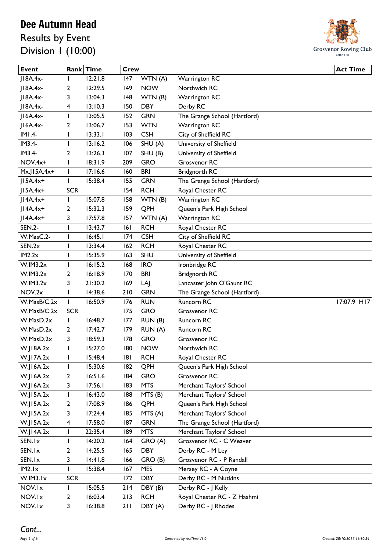Results by Event Division 1 (10:00)



| <b>Event</b>      |              | Rank Time | <b>Crew</b> |            |                              | <b>Act Time</b> |
|-------------------|--------------|-----------|-------------|------------|------------------------------|-----------------|
| $ 18A.4x-$        |              | 12:21.8   | 147         | WTN (A)    | <b>Warrington RC</b>         |                 |
| $ 18A.4x-$        | 2            | 12:29.5   | 149         | <b>NOW</b> | Northwich RC                 |                 |
| $JIBA.4x-$        | 3            | 13:04.3   | 148         | WTN(B)     | <b>Warrington RC</b>         |                 |
| $ 18A.4x-$        | 4            | 13:10.3   | 150         | <b>DBY</b> | Derby RC                     |                 |
| $ IAA.4x-$        | L            | 13:05.5   | 152         | <b>GRN</b> | The Grange School (Hartford) |                 |
| $ 16A.4x-$        | 2            | 13:06.7   | 153         | <b>WTN</b> | <b>Warrington RC</b>         |                 |
| $IMI.4-$          | L            | 13:33.1   | 103         | <b>CSH</b> | City of Sheffield RC         |                 |
| $IM3.4-$          | L            | 13:16.2   | 106         | SHU(A)     | University of Sheffield      |                 |
| $IM3.4-$          | 2            | 13:26.3   | 107         | SHU(B)     | University of Sheffield      |                 |
| NOV.4x+           | L            | 18:31.9   | 209         | <b>GRO</b> | Grosvenor RC                 |                 |
| $Mx$ .JISA. $4x+$ | L            | 17:16.6   | 160         | <b>BRI</b> | Bridgnorth RC                |                 |
| $J15A.4x+$        | L            | 15:38.4   | 155         | <b>GRN</b> | The Grange School (Hartford) |                 |
| $J15A.4x+$        | <b>SCR</b>   |           | 154         | <b>RCH</b> | Royal Chester RC             |                 |
| $JI4A.4x+$        | L            | 15:07.8   | 158         | WTN (B)    | <b>Warrington RC</b>         |                 |
| $JIAA.4x+$        | 2            | 15:32.3   | 159         | QPH        | Queen's Park High School     |                 |
| $J14A.4x+$        | 3            | 17:57.8   | 157         | WTN (A)    | <b>Warrington RC</b>         |                 |
| <b>SEN.2-</b>     | ı            | 13:43.7   | 6           | <b>RCH</b> | Royal Chester RC             |                 |
| W.MasC.2-         | L            | 16:45.1   | 174         | <b>CSH</b> | City of Sheffield RC         |                 |
| SEN.2x            | ı            | 13:34.4   | 162         | <b>RCH</b> | Royal Chester RC             |                 |
| IM2.2x            | ı            | 15:35.9   | 163         | <b>SHU</b> | University of Sheffield      |                 |
| W.IM3.2x          | ı            | 16:15.2   | 168         | <b>IRO</b> | Ironbridge RC                |                 |
| W.IM3.2x          | 2            | 16:18.9   | 170         | <b>BRI</b> | Bridgnorth RC                |                 |
| W.IM3.2x          | 3            | 21:30.2   | 169         | LAJ        | Lancaster John O'Gaunt RC    |                 |
| NOV.2x            | T            | 14:38.6   | 210         | <b>GRN</b> | The Grange School (Hartford) |                 |
| W.MasB/C.2x       | $\mathbf{I}$ | 16:50.9   | 176         | <b>RUN</b> | Runcorn RC                   | 17:07.9 H17     |
| W.MasB/C.2x       | <b>SCR</b>   |           | 175         | <b>GRO</b> | Grosvenor RC                 |                 |
| W.MasD.2x         | L            | 16:48.7   | 177         | RUN(B)     | Runcorn RC                   |                 |
| W.MasD.2x         | 2            | 17:42.7   | 179         | RUN (A)    | Runcorn RC                   |                 |
| W.MasD.2x         | 3            | 18:59.3   | 178         | <b>GRO</b> | Grosvenor RC                 |                 |
| W.JI8A.2x         | T            | 15:27.0   | 180         | <b>NOW</b> | Northwich RC                 |                 |
| W.JI7A.2x         |              | 15:48.4   | 181         | <b>RCH</b> | Royal Chester RC             |                 |
| W.JI6A.2x         | $\mathbf{I}$ | 15:30.6   | 182         | QPH        | Queen's Park High School     |                 |
| W.JI6A.2x         | 2            | 16:51.6   | 184         | <b>GRO</b> | Grosvenor RC                 |                 |
| W.JI6A.2x         | 3            | 17:56.1   | 183         | <b>MTS</b> | Merchant Taylors' School     |                 |
| W.JI5A.2x         | T            | 16:43.0   | 188         | MTS (B)    | Merchant Taylors' School     |                 |
| W.JI5A.2x         | 2            | 17:08.9   | 186         | QPH        | Queen's Park High School     |                 |
| W.JI5A.2x         | 3            | 17:24.4   | 185         | MTS(A)     | Merchant Taylors' School     |                 |
| W.J15A.2x         | 4            | 17:58.0   | 187         | <b>GRN</b> | The Grange School (Hartford) |                 |
| W.JI4A.2x         | $\mathbf{I}$ | 22:35.4   | 189         | <b>MTS</b> | Merchant Taylors' School     |                 |
| SEN.Ix            | L            | 14:20.2   | 164         | GRO (A)    | Grosvenor RC - C Weaver      |                 |
| SEN.Ix            | 2            | 14:25.5   | 165         | <b>DBY</b> | Derby RC - M Ley             |                 |
| SEN.Ix            | 3            | 14:41.8   | 166         | GRO (B)    | Grosvenor RC - P Randall     |                 |
| IM2.Ix            | T            | 15:38.4   | 167         | <b>MES</b> | Mersey RC - A Coyne          |                 |
| W.IM3.Ix          | <b>SCR</b>   |           | 172         | <b>DBY</b> | Derby RC - M Nutkins         |                 |
| NOV.Ix            | $\mathbf{I}$ | 15:05.5   | 214         | DBY (B)    | Derby RC - J Kelly           |                 |
| NOV.Ix            | 2            | 16:03.4   | 213         | <b>RCH</b> | Royal Chester RC - Z Hashmi  |                 |
| NOV.Ix            | 3            | 16:38.8   | 211         | DBY (A)    | Derby RC - J Rhodes          |                 |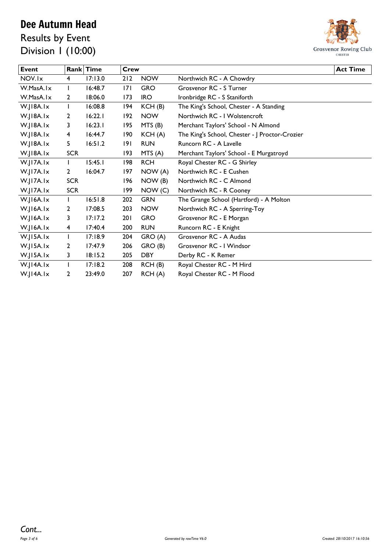Results by Event Division 1 (10:00)



| <b>Event</b> |            | Rank Time | Crew |            |                                                | <b>Act Time</b> |
|--------------|------------|-----------|------|------------|------------------------------------------------|-----------------|
| NOV.Ix       | 4          | 17:13.0   | 212  | <b>NOW</b> | Northwich RC - A Chowdry                       |                 |
| W.MasA.Ix    |            | 16:48.7   | 7    | <b>GRO</b> | Grosvenor RC - S Turner                        |                 |
| W.MasA.Ix    | 2          | 18:06.0   | 173  | <b>IRO</b> | Ironbridge RC - S Staniforth                   |                 |
| W.JI8A.Ix    |            | 16:08.8   | 194  | KCH(B)     | The King's School, Chester - A Standing        |                 |
| W.JI8A.Ix    | 2          | 16:22.1   | 192  | <b>NOW</b> | Northwich RC - I Wolstencroft                  |                 |
| W.JI8A.Ix    | 3          | 16:23.1   | 195  | MTS (B)    | Merchant Taylors' School - N Almond            |                 |
| W.JI8A.Ix    | 4          | 16:44.7   | 190  | KCH(A)     | The King's School, Chester - J Proctor-Crozier |                 |
| W.JI8A.Ix    | 5          | 16:51.2   | 191  | <b>RUN</b> | Runcorn RC - A Lavelle                         |                 |
| W.JI8A.Ix    | <b>SCR</b> |           | 193  | MTS(A)     | Merchant Taylors' School - E Murgatroyd        |                 |
| W.JI7A.Ix    |            | 15:45.1   | 198  | <b>RCH</b> | Royal Chester RC - G Shirley                   |                 |
| W.JI7A.Ix    | 2          | 16:04.7   | 197  | NOW (A)    | Northwich RC - E Cushen                        |                 |
| W.JI7A.Ix    | <b>SCR</b> |           | 196  | NOW(B)     | Northwich RC - C Almond                        |                 |
| W.JI7A.Ix    | <b>SCR</b> |           | 199  | NOW(C)     | Northwich RC - R Cooney                        |                 |
| W.JI6A.Ix    |            | 16:51.8   | 202  | <b>GRN</b> | The Grange School (Hartford) - A Molton        |                 |
| W.JI6A.Ix    | 2          | 17:08.5   | 203  | <b>NOW</b> | Northwich RC - A Sperring-Toy                  |                 |
| W.JI6A.Ix    | 3          | 17:17.2   | 201  | <b>GRO</b> | Grosvenor RC - E Morgan                        |                 |
| W.JI6A.Ix    | 4          | 17:40.4   | 200  | <b>RUN</b> | Runcorn RC - E Knight                          |                 |
| W.JI5A.Ix    | T          | 17:18.9   | 204  | GRO (A)    | Grosvenor RC - A Audas                         |                 |
| W.JI5A.Ix    | 2          | 17:47.9   | 206  | GRO (B)    | Grosvenor RC - I Windsor                       |                 |
| W.JI5A.Ix    | 3          | 18:15.2   | 205  | <b>DBY</b> | Derby RC - K Remer                             |                 |
| W.JI4A.Ix    |            | 17:18.2   | 208  | RCH(B)     | Royal Chester RC - M Hird                      |                 |
| W.JI4A.Ix    | 2          | 23:49.0   | 207  | RCH(A)     | Royal Chester RC - M Flood                     |                 |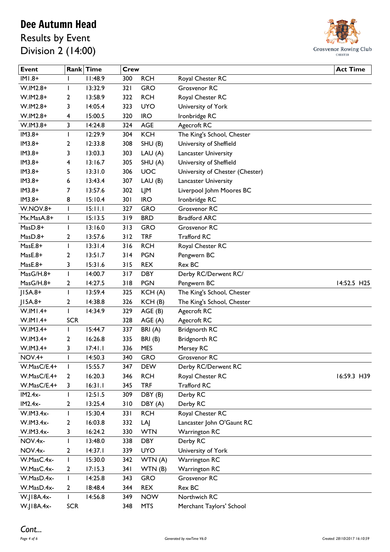Results by Event Division 2 (14:00)



| <b>Event</b>           |              | Rank Time          | <b>Crew</b> |            |                                 | <b>Act Time</b> |
|------------------------|--------------|--------------------|-------------|------------|---------------------------------|-----------------|
| $HMI.8+$               |              | 11:48.9            | 300         | <b>RCH</b> | Royal Chester RC                |                 |
| W.IM2.8+               | L            | 13:32.9            | 321         | <b>GRO</b> | Grosvenor RC                    |                 |
| W.IM2.8+               | 2            | 13:58.9            | 322         | <b>RCH</b> | Royal Chester RC                |                 |
| $W.IM2.8+$             | 3            | 14:05.4            | 323         | <b>UYO</b> | University of York              |                 |
| $W.IM2.8+$             | 4            | 15:00.5            | 320         | <b>IRO</b> | Ironbridge RC                   |                 |
| W.IM3.8+               | 3            | 14:24.8            | 324         | <b>AGE</b> | Agecroft RC                     |                 |
| $IM3.8+$               |              | 12:29.9            | 304         | <b>KCH</b> | The King's School, Chester      |                 |
| $IM3.8+$               | 2            | 12:33.8            | 308         | SHU(B)     | University of Sheffield         |                 |
| $IM3.8+$               | 3            | 13:03.3            | 303         | LAU(A)     | <b>Lancaster University</b>     |                 |
| $IM3.8+$               | 4            | 13:16.7            | 305         | SHU(A)     | University of Sheffield         |                 |
| $IM3.8+$               | 5            | 13:31.0            | 306         | <b>UOC</b> | University of Chester (Chester) |                 |
| $IM3.8+$               | 6            | 13:43.4            | 307         | LAU(B)     | Lancaster University            |                 |
| $IM3.8+$               | 7            | 13:57.6            | 302         | ЦM         | Liverpool Johm Moores BC        |                 |
| $IM3.8+$               | 8            | 15:10.4            | 301         | <b>IRO</b> | Ironbridge RC                   |                 |
| <b>W.NOV.8+</b>        | T            | 15:11.1            | 327         | <b>GRO</b> | Grosvenor RC                    |                 |
| Mx.MasA.8+             | L            | 15:13.5            | 319         | <b>BRD</b> | <b>Bradford ARC</b>             |                 |
| MasD.8+                | L            | 13:16.0            | 313         | <b>GRO</b> | Grosvenor RC                    |                 |
| $MasD.8+$              | 2            | 13:57.6            | 312         | <b>TRF</b> | <b>Trafford RC</b>              |                 |
| MasE.8+                | L            | 13:31.4            | 316         | <b>RCH</b> | Royal Chester RC                |                 |
| MasE.8+                | 2            | 13:51.7            | 314         | <b>PGN</b> | Pengwern BC                     |                 |
| MasE.8+                | 3            | 15:31.6            | 315         | <b>REX</b> | Rex BC                          |                 |
| MasG/H.8+              | $\mathbf{I}$ | 14:00.7            | 317         | <b>DBY</b> | Derby RC/Derwent RC/            |                 |
| MasG/H.8+              | 2            | 14:27.5            | 318         | <b>PGN</b> | Pengwern BC                     | 14:52.5 H25     |
| $J15A.8+$              | I            | 13:59.4            | 325         | KCH(A)     | The King's School, Chester      |                 |
| $J15A.8+$              | 2            | 14:38.8            | 326         | KCH(B)     | The King's School, Chester      |                 |
| $W.IM1.4+$             | T            | 14:34.9            | 329         | AGE(B)     | Agecroft RC                     |                 |
| $W.IMI.4+$             | <b>SCR</b>   |                    | 328         | AGE(A)     | Agecroft RC                     |                 |
| W.IM3.4+               | I            | 15:44.7            | 337         | BRI(A)     | Bridgnorth RC                   |                 |
| W.IM3.4+               | 2            | 16:26.8            | 335         | BRI(B)     | <b>Bridgnorth RC</b>            |                 |
| W.IM3.4+               | 3            | 17:41.1            | 336         | <b>MES</b> | Mersey RC                       |                 |
| <b>NOV.4+</b>          |              | 14:50.3            | 340         | <b>GRO</b> | Grosvenor RC                    |                 |
| W.MasC/E.4+            |              | 15:55.7            | 347         | <b>DEW</b> | Derby RC/Derwent RC             |                 |
| W.MasC/E.4+            | L            | 16:20.3            | 346         | <b>RCH</b> | Royal Chester RC                | 16:59.3 H39     |
| W.MasC/E.4+            | 2            | 16:31.1            | 345         | <b>TRF</b> | <b>Trafford RC</b>              |                 |
|                        | 3            |                    |             |            |                                 |                 |
| $IM2.4x-$<br>$IM2.4x-$ |              | 12:51.5            | 309         | DBY (B)    | Derby RC                        |                 |
| W.IM3.4x-              | 2            | 13:25.4            | 310         | DBY (A)    | Derby RC                        |                 |
| W.IM3.4x-              | L            | 15:30.4<br>16:03.8 | 33 I        | <b>RCH</b> | Royal Chester RC                |                 |
|                        | 2            |                    | 332         | LAJ        | Lancaster John O'Gaunt RC       |                 |
| W.IM3.4x-              | 3            | 16:24.2            | 330         | <b>WTN</b> | Warrington RC                   |                 |
| NOV.4x-                | ı            | 13:48.0            | 338         | <b>DBY</b> | Derby RC                        |                 |
| NOV.4x-                | 2            | 14:37.1            | 339         | <b>UYO</b> | University of York              |                 |
| W.MasC.4x-             | I            | 15:30.0            | 342         | WTN (A)    | <b>Warrington RC</b>            |                 |
| W.MasC.4x-             | 2            | 17:15.3            | 341         | WTN(B)     | <b>Warrington RC</b>            |                 |
| W.MasD.4x-             | $\mathbf{I}$ | 14:25.8            | 343         | <b>GRO</b> | Grosvenor RC                    |                 |
| W.MasD.4x-             | 2            | 18:48.4            | 344         | <b>REX</b> | Rex BC                          |                 |
| W.J18A.4x-             | L            | 14:56.8            | 349         | <b>NOW</b> | Northwich RC                    |                 |
| W.J18A.4x-             | <b>SCR</b>   |                    | 348         | <b>MTS</b> | Merchant Taylors' School        |                 |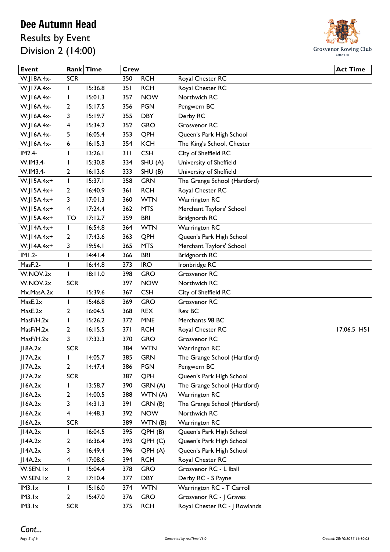Results by Event Division 2 (14:00)



| <b>Event</b> |                         | Rank Time | Crew |                    |                               | <b>Act Time</b> |
|--------------|-------------------------|-----------|------|--------------------|-------------------------------|-----------------|
| W.J18A.4x-   | <b>SCR</b>              |           | 350  | <b>RCH</b>         | Royal Chester RC              |                 |
| W.J17A.4x-   | T                       | 15:36.8   | 351  | <b>RCH</b>         | Royal Chester RC              |                 |
| W.J16A.4x-   | T                       | 15:01.3   | 357  | <b>NOW</b>         | Northwich RC                  |                 |
| W.J16A.4x-   | 2                       | 15:17.5   | 356  | <b>PGN</b>         | Pengwern BC                   |                 |
| W.J16A.4x-   | 3                       | 15:19.7   | 355  | <b>DBY</b>         | Derby RC                      |                 |
| W.J16A.4x-   | 4                       | 15:34.2   | 352  | <b>GRO</b>         | Grosvenor RC                  |                 |
| W.J16A.4x-   | 5                       | 16:05.4   | 353  | QPH                | Queen's Park High School      |                 |
| W.J16A.4x-   | 6                       | 16:15.3   | 354  | <b>KCH</b>         | The King's School, Chester    |                 |
| IM2.4-       | I                       | 13:26.1   | 311  | <b>CSH</b>         | City of Sheffield RC          |                 |
| W.IM3.4-     | ı                       | 15:30.8   | 334  | SHU(A)             | University of Sheffield       |                 |
| W.IM3.4-     | 2                       | 16:13.6   | 333  | SHU(B)             | University of Sheffield       |                 |
| $W.J15A.4x+$ | T                       | 15:37.1   | 358  | <b>GRN</b>         | The Grange School (Hartford)  |                 |
| $W.J15A.4x+$ | 2                       | 16:40.9   | 361  | <b>RCH</b>         | Royal Chester RC              |                 |
| $W.J15A.4x+$ | 3                       | 17:01.3   | 360  | <b>WTN</b>         | <b>Warrington RC</b>          |                 |
| $W.J15A.4x+$ | $\overline{\mathbf{4}}$ | 17:24.4   | 362  | <b>MTS</b>         | Merchant Taylors' School      |                 |
| $W.JI5A.4x+$ | TO                      | 17:12.7   | 359  | <b>BRI</b>         | <b>Bridgnorth RC</b>          |                 |
| W.J14A.4x+   | $\mathbf{I}$            | 16:54.8   | 364  | <b>WTN</b>         | <b>Warrington RC</b>          |                 |
| W.J14A.4x+   | 2                       | 17:43.6   | 363  | QPH                | Queen's Park High School      |                 |
| W.J14A.4x+   | 3                       | 19:54.1   | 365  | <b>MTS</b>         | Merchant Taylors' School      |                 |
| $IMI.2-$     | I                       | 14:41.4   | 366  | <b>BRI</b>         | Bridgnorth RC                 |                 |
| MasF.2-      | ı                       | 16:44.8   | 373  | <b>IRO</b>         | Ironbridge RC                 |                 |
| W.NOV.2x     | I                       | 18:11.0   | 398  | <b>GRO</b>         | Grosvenor RC                  |                 |
| W.NOV.2x     | <b>SCR</b>              |           | 397  | <b>NOW</b>         | Northwich RC                  |                 |
| Mx.MasA.2x   | I                       | 15:39.6   | 367  | <b>CSH</b>         | City of Sheffield RC          |                 |
| MasE.2x      | I                       | 15:46.8   | 369  | <b>GRO</b>         | Grosvenor RC                  |                 |
| MasE.2x      | 2                       | 16:04.5   | 368  | <b>REX</b>         | Rex BC                        |                 |
| MasF/H.2x    | T                       | 15:26.2   | 372  | <b>MNE</b>         | Merchants 98 BC               |                 |
| MasF/H.2x    | 2                       | 16:15.5   | 371  | <b>RCH</b>         | Royal Chester RC              | 17:06.5 H51     |
| MasF/H.2x    | 3                       | 17:33.3   | 370  | <b>GRO</b>         | Grosvenor RC                  |                 |
| J18A.2x      | <b>SCR</b>              |           | 384  | <b>WTN</b>         | <b>Warrington RC</b>          |                 |
| JI7A.2x      |                         | 14:05.7   | 385  | <b>GRN</b>         | The Grange School (Hartford)  |                 |
| 17A.2x       | $\mathbf{2}$            | 14:47.4   | 386  | <b>PGN</b>         | Pengwern BC                   |                 |
| JI7A.2x      | <b>SCR</b>              |           | 387  | QPH                | Queen's Park High School      |                 |
| J16A.2x      | L                       | 13:58.7   | 390  | GRN (A)            | The Grange School (Hartford)  |                 |
| I6A.2x       | 2                       | 14:00.5   | 388  | WTN (A)            | <b>Warrington RC</b>          |                 |
| J16A.2x      | 3                       | 14:31.3   | 391  | GRN (B)            | The Grange School (Hartford)  |                 |
| J16A.2x      | 4                       | 14:48.3   | 392  | <b>NOW</b>         | Northwich RC                  |                 |
| 16A.2x       | <b>SCR</b>              |           | 389  | WTN(B)             | <b>Warrington RC</b>          |                 |
| JIAA.2x      | L                       | 16:04.5   | 395  | QPH(B)             | Queen's Park High School      |                 |
| J14A.2x      | 2                       | 16:36.4   | 393  | QPH <sub>(C)</sub> | Queen's Park High School      |                 |
| JI4A.2x      | 3                       | 16:49.4   | 396  | QPH (A)            | Queen's Park High School      |                 |
| JI4A.2x      | 4                       | 17:08.6   | 394  | <b>RCH</b>         | Royal Chester RC              |                 |
| W.SEN.Ix     | L                       | 15:04.4   | 378  | <b>GRO</b>         | Grosvenor RC - L Iball        |                 |
| W.SEN.Ix     | $\overline{2}$          | 17:10.4   | 377  | <b>DBY</b>         | Derby RC - S Payne            |                 |
| IM3.Ix       | T                       | 15:16.0   | 374  | <b>WTN</b>         | Warrington RC - T Carroll     |                 |
| IM3.Ix       | 2                       | 15:47.0   | 376  | <b>GRO</b>         | Grosvenor RC - J Graves       |                 |
| IM3.Ix       | <b>SCR</b>              |           | 375  | <b>RCH</b>         | Royal Chester RC - J Rowlands |                 |